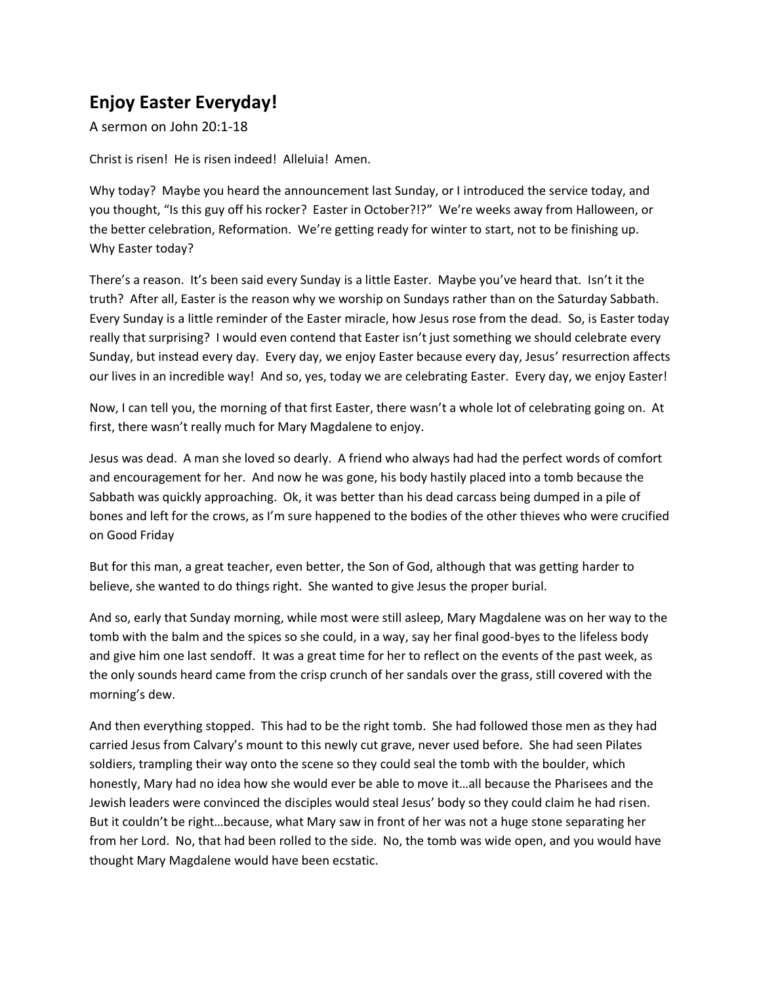## **Enjoy Easter Everyday!**

A sermon on John 20:1-18

Christ is risen! He is risen indeed! Alleluia! Amen.

Why today? Maybe you heard the announcement last Sunday, or I introduced the service today, and you thought, "Is this guy off his rocker? Easter in October?!?" We're weeks away from Halloween, or the better celebration, Reformation. We're getting ready for winter to start, not to be finishing up. Why Easter today?

There's a reason. It's been said every Sunday is a little Easter. Maybe you've heard that. Isn't it the truth? After all, Easter is the reason why we worship on Sundays rather than on the Saturday Sabbath. Every Sunday is a little reminder of the Easter miracle, how Jesus rose from the dead. So, is Easter today really that surprising? I would even contend that Easter isn't just something we should celebrate every Sunday, but instead every day. Every day, we enjoy Easter because every day, Jesus' resurrection affects our lives in an incredible way! And so, yes, today we are celebrating Easter. Every day, we enjoy Easter!

Now, I can tell you, the morning of that first Easter, there wasn't a whole lot of celebrating going on. At first, there wasn't really much for Mary Magdalene to enjoy.

Jesus was dead. A man she loved so dearly. A friend who always had had the perfect words of comfort and encouragement for her. And now he was gone, his body hastily placed into a tomb because the Sabbath was quickly approaching. Ok, it was better than his dead carcass being dumped in a pile of bones and left for the crows, as I'm sure happened to the bodies of the other thieves who were crucified on Good Friday

But for this man, a great teacher, even better, the Son of God, although that was getting harder to believe, she wanted to do things right. She wanted to give Jesus the proper burial.

And so, early that Sunday morning, while most were still asleep, Mary Magdalene was on her way to the tomb with the balm and the spices so she could, in a way, say her final good-byes to the lifeless body and give him one last sendoff. It was a great time for her to reflect on the events of the past week, as the only sounds heard came from the crisp crunch of her sandals over the grass, still covered with the morning's dew.

And then everything stopped. This had to be the right tomb. She had followed those men as they had carried Jesus from Calvary's mount to this newly cut grave, never used before. She had seen Pilates soldiers, trampling their way onto the scene so they could seal the tomb with the boulder, which honestly, Mary had no idea how she would ever be able to move it…all because the Pharisees and the Jewish leaders were convinced the disciples would steal Jesus' body so they could claim he had risen. But it couldn't be right…because, what Mary saw in front of her was not a huge stone separating her from her Lord. No, that had been rolled to the side. No, the tomb was wide open, and you would have thought Mary Magdalene would have been ecstatic.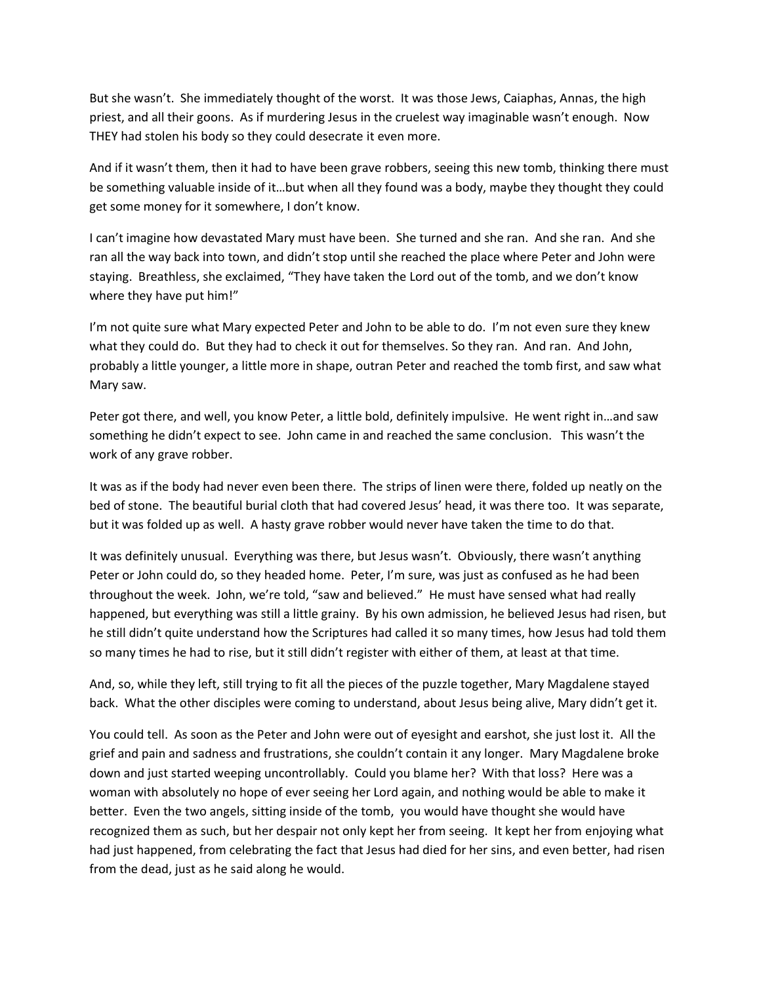But she wasn't. She immediately thought of the worst. It was those Jews, Caiaphas, Annas, the high priest, and all their goons. As if murdering Jesus in the cruelest way imaginable wasn't enough. Now THEY had stolen his body so they could desecrate it even more.

And if it wasn't them, then it had to have been grave robbers, seeing this new tomb, thinking there must be something valuable inside of it…but when all they found was a body, maybe they thought they could get some money for it somewhere, I don't know.

I can't imagine how devastated Mary must have been. She turned and she ran. And she ran. And she ran all the way back into town, and didn't stop until she reached the place where Peter and John were staying. Breathless, she exclaimed, "They have taken the Lord out of the tomb, and we don't know where they have put him!"

I'm not quite sure what Mary expected Peter and John to be able to do. I'm not even sure they knew what they could do. But they had to check it out for themselves. So they ran. And ran. And John, probably a little younger, a little more in shape, outran Peter and reached the tomb first, and saw what Mary saw.

Peter got there, and well, you know Peter, a little bold, definitely impulsive. He went right in…and saw something he didn't expect to see. John came in and reached the same conclusion. This wasn't the work of any grave robber.

It was as if the body had never even been there. The strips of linen were there, folded up neatly on the bed of stone. The beautiful burial cloth that had covered Jesus' head, it was there too. It was separate, but it was folded up as well. A hasty grave robber would never have taken the time to do that.

It was definitely unusual. Everything was there, but Jesus wasn't. Obviously, there wasn't anything Peter or John could do, so they headed home. Peter, I'm sure, was just as confused as he had been throughout the week. John, we're told, "saw and believed." He must have sensed what had really happened, but everything was still a little grainy. By his own admission, he believed Jesus had risen, but he still didn't quite understand how the Scriptures had called it so many times, how Jesus had told them so many times he had to rise, but it still didn't register with either of them, at least at that time.

And, so, while they left, still trying to fit all the pieces of the puzzle together, Mary Magdalene stayed back. What the other disciples were coming to understand, about Jesus being alive, Mary didn't get it.

You could tell. As soon as the Peter and John were out of eyesight and earshot, she just lost it. All the grief and pain and sadness and frustrations, she couldn't contain it any longer. Mary Magdalene broke down and just started weeping uncontrollably. Could you blame her? With that loss? Here was a woman with absolutely no hope of ever seeing her Lord again, and nothing would be able to make it better. Even the two angels, sitting inside of the tomb, you would have thought she would have recognized them as such, but her despair not only kept her from seeing. It kept her from enjoying what had just happened, from celebrating the fact that Jesus had died for her sins, and even better, had risen from the dead, just as he said along he would.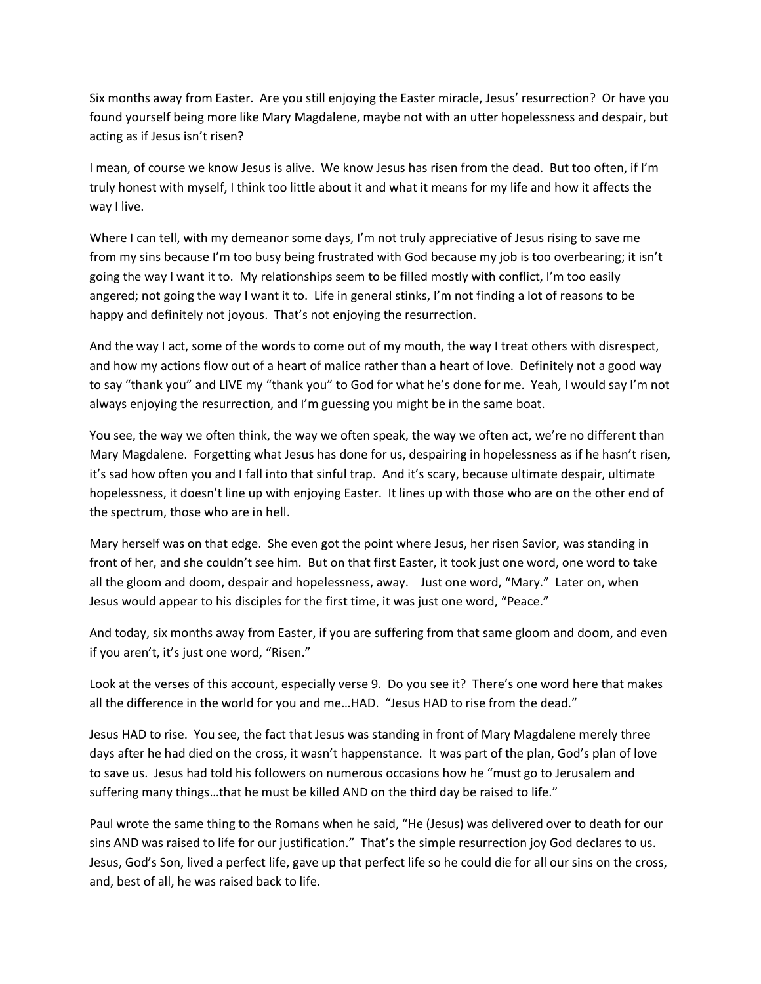Six months away from Easter. Are you still enjoying the Easter miracle, Jesus' resurrection? Or have you found yourself being more like Mary Magdalene, maybe not with an utter hopelessness and despair, but acting as if Jesus isn't risen?

I mean, of course we know Jesus is alive. We know Jesus has risen from the dead. But too often, if I'm truly honest with myself, I think too little about it and what it means for my life and how it affects the way I live.

Where I can tell, with my demeanor some days, I'm not truly appreciative of Jesus rising to save me from my sins because I'm too busy being frustrated with God because my job is too overbearing; it isn't going the way I want it to. My relationships seem to be filled mostly with conflict, I'm too easily angered; not going the way I want it to. Life in general stinks, I'm not finding a lot of reasons to be happy and definitely not joyous. That's not enjoying the resurrection.

And the way I act, some of the words to come out of my mouth, the way I treat others with disrespect, and how my actions flow out of a heart of malice rather than a heart of love. Definitely not a good way to say "thank you" and LIVE my "thank you" to God for what he's done for me. Yeah, I would say I'm not always enjoying the resurrection, and I'm guessing you might be in the same boat.

You see, the way we often think, the way we often speak, the way we often act, we're no different than Mary Magdalene. Forgetting what Jesus has done for us, despairing in hopelessness as if he hasn't risen, it's sad how often you and I fall into that sinful trap. And it's scary, because ultimate despair, ultimate hopelessness, it doesn't line up with enjoying Easter. It lines up with those who are on the other end of the spectrum, those who are in hell.

Mary herself was on that edge. She even got the point where Jesus, her risen Savior, was standing in front of her, and she couldn't see him. But on that first Easter, it took just one word, one word to take all the gloom and doom, despair and hopelessness, away. Just one word, "Mary." Later on, when Jesus would appear to his disciples for the first time, it was just one word, "Peace."

And today, six months away from Easter, if you are suffering from that same gloom and doom, and even if you aren't, it's just one word, "Risen."

Look at the verses of this account, especially verse 9. Do you see it? There's one word here that makes all the difference in the world for you and me…HAD. "Jesus HAD to rise from the dead."

Jesus HAD to rise. You see, the fact that Jesus was standing in front of Mary Magdalene merely three days after he had died on the cross, it wasn't happenstance. It was part of the plan, God's plan of love to save us. Jesus had told his followers on numerous occasions how he "must go to Jerusalem and suffering many things…that he must be killed AND on the third day be raised to life."

Paul wrote the same thing to the Romans when he said, "He (Jesus) was delivered over to death for our sins AND was raised to life for our justification." That's the simple resurrection joy God declares to us. Jesus, God's Son, lived a perfect life, gave up that perfect life so he could die for all our sins on the cross, and, best of all, he was raised back to life.